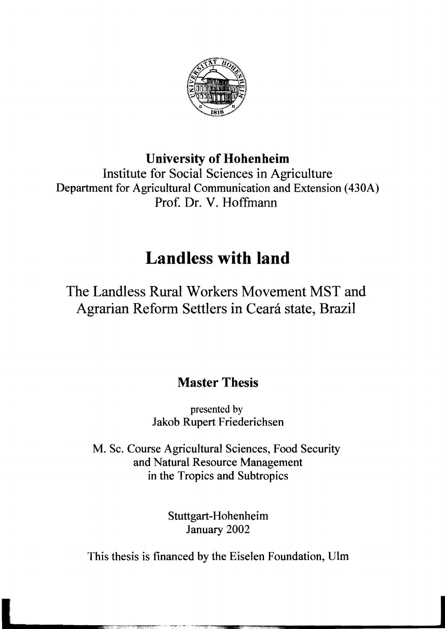

## **University of Hohenheim**

Institute for Social Sciences in Agriculture Department for Agricultural Communication and Extension (430A) Prof. Dr. V. Hoffmann

## **Landless with land**

The Landless Rural Workers Movement MST and Agrarian Reform Settlers in Ceará state, Brazil

## **Master Thesis**

presented by Jakob Rupert Friederichsen

M. Sc. Course Agricultural Sciences, Food Security and Natural Resource Management in the Tropics and Subtropics

> Stuttgart-Hohenheim January 2002

This thesis is financed by the Eiselen Foundation, Ulm